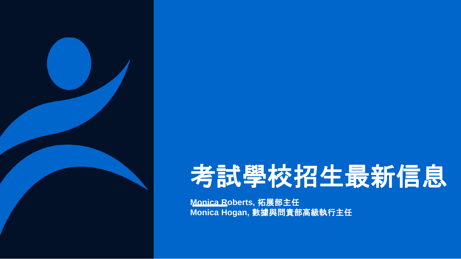

# 考試學校招生最新信息

**Monica Roberts,** 拓展部主任 **Monica Hogan,** 數據與問責部高級執行主任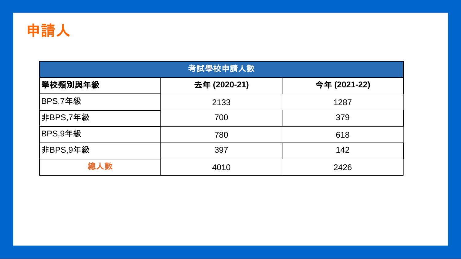

| 考試學校申請人數 |              |              |  |  |  |  |  |
|----------|--------------|--------------|--|--|--|--|--|
| 學校類別與年級  | 去年 (2020-21) | 今年 (2021-22) |  |  |  |  |  |
| BPS,7年級  | 2133         | 1287         |  |  |  |  |  |
| 非BPS,7年級 | 700          | 379          |  |  |  |  |  |
| BPS,9年級  | 780          | 618          |  |  |  |  |  |
| 非BPS,9年級 | 397          | 142          |  |  |  |  |  |
| 總人數      | 4010         | 2426         |  |  |  |  |  |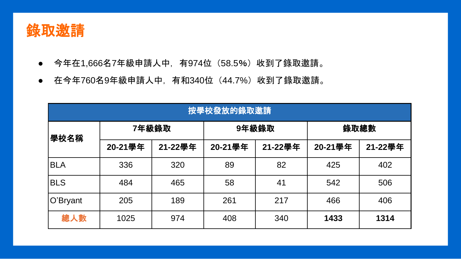

- 今年在1,666名7年級申請人中, 有974位 (58.5%) 收到了錄取邀請。
- 在今年760名9年級申請人中, 有和340位 (44.7%) 收到了錄取邀請。

|            | 按學校發放的錄取邀請 |         |         |         |         |         |
|------------|------------|---------|---------|---------|---------|---------|
| 學校名稱       | 7年級錄取      |         | 9年級錄取   |         | 錄取總數    |         |
|            | 20-21學年    | 21-22學年 | 20-21學年 | 21-22學年 | 20-21學年 | 21-22學年 |
| <b>BLA</b> | 336        | 320     | 89      | 82      | 425     | 402     |
| <b>BLS</b> | 484        | 465     | 58      | 41      | 542     | 506     |
| O'Bryant   | 205        | 189     | 261     | 217     | 466     | 406     |
| 總人數        | 1025       | 974     | 408     | 340     | 1433    | 1314    |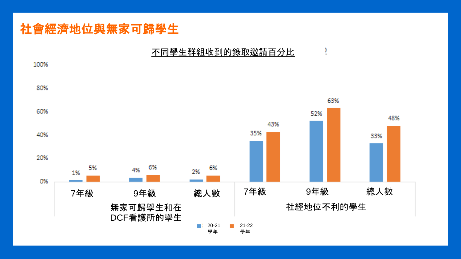## 社會經濟地位與無家可歸學生

#### 不同學生群組收到的錄取邀請百分比

Ĭ

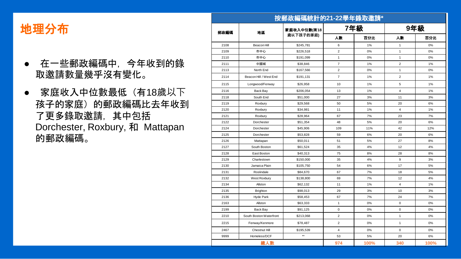## 地理分布

- 在一些郵政編碼中,今年收到的錄 取邀請數量幾乎沒有變化。
- 家庭收入中位數最低(有18歲以下 孩子的家庭)的郵政編碼比去年收到 了更多錄取邀請,其中包括 Dorchester, Roxbury, 和 Mattapan 的郵政編碼。

|      |                         | 按郵政編碼統計的21-22學年錄取邀請* |                |      |                         |      |
|------|-------------------------|----------------------|----------------|------|-------------------------|------|
|      | 地區                      | 家庭收入中位數(有18          | 7年級            |      | 9年級                     |      |
|      | 郵政編碼                    | 歲以下孩子的家庭)            | 人數             | 百分比  | 人数                      | 百分比  |
| 2108 | Beacon Hill             | \$245,781            | 6              | 1%   | 1                       | 0%   |
| 2109 | 市中心                     | \$226,518            | $\overline{2}$ | 0%   | $\mathbf{1}$            | 0%   |
| 2110 | 市中心                     | \$191,099            | $\mathbf{1}$   | 0%   | 1                       | 0%   |
| 2111 | 中國城                     | \$38,846             | $\overline{7}$ | 1%   | $\overline{2}$          | 1%   |
| 2113 | North End               | \$167,566            | $\overline{c}$ | 0%   | 1                       | 0%   |
| 2114 | Beacon Hill / West End  | \$191,131            | $\overline{7}$ | 1%   | $\overline{2}$          | 1%   |
| 2115 | Longwood/Fenway         | \$26,958             | 10             | 1%   | 5                       | 1%   |
| 2116 | Back Bay                | \$206,054            | 13             | 1%   | $\overline{\mathbf{4}}$ | 1%   |
| 2118 | South End               | \$51,000             | 27             | 3%   | 11                      | 3%   |
| 2119 | Roxbury                 | \$29,568             | 50             | 5%   | 20                      | 6%   |
| 2120 | Roxbury                 | \$34,981             | 11             | 1%   | 4                       | 1%   |
| 2121 | Roxbury                 | \$28,964             | 67             | 7%   | 23                      | 7%   |
| 2122 | Dorchester              | \$51,354             | 48             | 5%   | 20                      | 6%   |
| 2124 | Dorchester              | \$45,906             | 109            | 11%  | 42                      | 12%  |
| 2125 | Dorchester              | \$53,828             | 59             | 6%   | 20                      | 6%   |
| 2126 | Mattapan                | \$50,011             | 51             | 5%   | 27                      | 8%   |
| 2127 | South Boston            | \$61,524             | 35             | 4%   | 12                      | 4%   |
| 2128 | East Boston             | \$40,313             | 75             | 8%   | 28                      | 8%   |
| 2129 | Charlestown             | \$150,000            | 35             | 4%   | 9                       | 3%   |
| 2130 | Jamaica Plain           | \$105,750            | 54             | 6%   | 17                      | 5%   |
| 2131 | Roslindale              | \$84,670             | 67             | 7%   | 18                      | 5%   |
| 2132 | West Roxbury            | \$138,800            | 69             | 7%   | 12                      | 4%   |
| 2134 | Allston                 | \$62,132             | 11             | 1%   | 4                       | 1%   |
| 2135 | <b>Brighton</b>         | \$98,013             | 29             | 3%   | 10                      | 3%   |
| 2136 | Hyde Park               | \$58,453             | 67             | 7%   | 24                      | 7%   |
| 2163 | Allston                 | \$63,333             | $\mathbf{1}$   | 0%   | 0                       | 0%   |
| 2199 | Back Bay                | \$91,125             | $\mathbf 0$    | 0%   | 0                       | 0%   |
| 2210 | South Boston Waterfront | \$213,068            | $\overline{2}$ | 0%   | 1                       | 0%   |
| 2215 | Fenway/Kenmore          | \$78,487             | $\overline{2}$ | 0%   | 1                       | 0%   |
| 2467 | Chestnut Hill           | \$195,539            | 4              | 0%   | $\mathbf 0$             | 0%   |
| 9999 | Homeless/DCF            | $\star\star$         | 53             | 5%   | 20                      | 6%   |
|      | 總人數                     |                      | 974            | 100% | 340                     | 100% |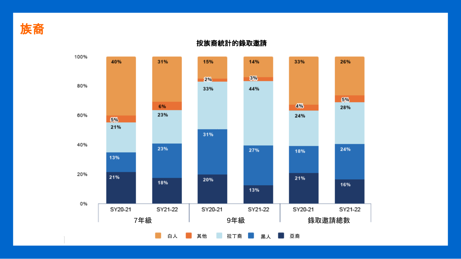



按族裔統計的錄取邀請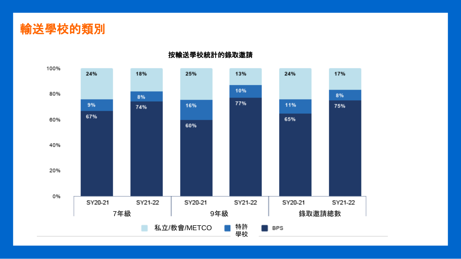



按輸送學校統計的錄取邀請